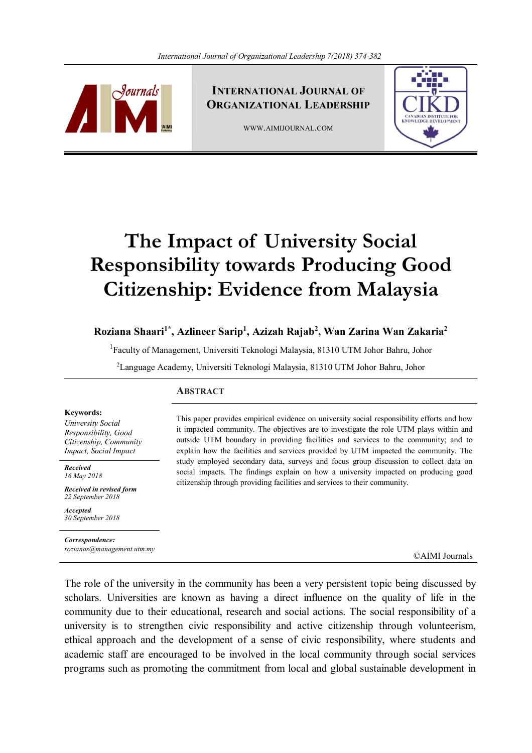

**INTERNATIONAL JOURNAL OF ORGANIZATIONAL LEADERSHIP**

WWW.AIMIJOURNAL.COM



# **The Impact of University Social Responsibility towards Producing Good Citizenship: Evidence from Malaysia**

# **Roziana Shaari1\*, Azlineer Sarip<sup>1</sup> , Azizah Rajab<sup>2</sup> , Wan Zarina Wan Zakaria 2**

<sup>1</sup>Faculty of Management, Universiti Teknologi Malaysia, 81310 UTM Johor Bahru, Johor

<sup>2</sup>Language Academy, Universiti Teknologi Malaysia, 81310 UTM Johor Bahru, Johor

## **ABSTRACT**

#### **Keywords:**

*University Social Responsibility, Good Citizenship, Community Impact, Social Impact*

*Received 16 May 2018*

*Received in revised form 22 September 2018*

*Accepted 30 September 2018*

*Correspondence: rozianas@management.utm.my*

This paper provides empirical evidence on university social responsibility efforts and how it impacted community. The objectives are to investigate the role UTM plays within and outside UTM boundary in providing facilities and services to the community; and to explain how the facilities and services provided by UTM impacted the community. The study employed secondary data, surveys and focus group discussion to collect data on social impacts. The findings explain on how a university impacted on producing good citizenship through providing facilities and services to their community.

©AIMI Journals

The role of the university in the community has been a very persistent topic being discussed by scholars. Universities are known as having a direct influence on the quality of life in the community due to their educational, research and social actions. The social responsibility of a university is to strengthen civic responsibility and active citizenship through volunteerism, ethical approach and the development of a sense of civic responsibility, where students and academic staff are encouraged to be involved in the local community through social services programs such as promoting the commitment from local and global sustainable development in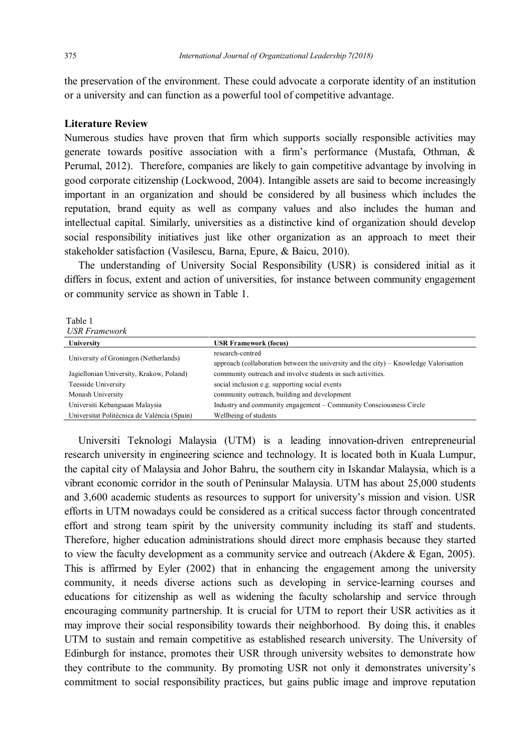the preservation of the environment. These could advocate a corporate identity of an institution or a university and can function as a powerful tool of competitive advantage.

# **Literature Review**

Numerous studies have proven that firm which supports socially responsible activities may generate towards positive association with a firm's performance (Mustafa, Othman, & Perumal, 2012). Therefore, companies are likely to gain competitive advantage by involving in good corporate citizenship (Lockwood, 2004). Intangible assets are said to become increasingly important in an organization and should be considered by all business which includes the reputation, brand equity as well as company values and also includes the human and intellectual capital. Similarly, universities as a distinctive kind of organization should develop social responsibility initiatives just like other organization as an approach to meet their stakeholder satisfaction (Vasilescu, Barna, Epure, & Baicu, 2010).

 The understanding of University Social Responsibility (USR) is considered initial as it differs in focus, extent and action of universities, for instance between community engagement or community service as shown in Table 1.

Table 1 *USR Framework*

| $0.91111$ and $0.016$                       |                                                                                                           |
|---------------------------------------------|-----------------------------------------------------------------------------------------------------------|
| University                                  | <b>USR Framework (focus)</b>                                                                              |
| University of Groningen (Netherlands)       | research-centred<br>approach (collaboration between the university and the city) – Knowledge Valorisation |
| Jagiellonian University, Krakow, Poland)    | community outreach and involve students in such activities.                                               |
| Teesside University                         | social inclusion e.g. supporting social events                                                            |
| Monash University                           | community outreach, building and development                                                              |
| Universiti Kebangsaan Malaysia              | Industry and community engagement – Community Consciousness Circle                                        |
| Universitat Politècnica de València (Spain) | Wellbeing of students                                                                                     |
|                                             |                                                                                                           |

 Universiti Teknologi Malaysia (UTM) is a leading innovation-driven entrepreneurial research university in engineering science and technology. It is located both in Kuala Lumpur, the capital city of Malaysia and Johor Bahru, the southern city in Iskandar Malaysia, which is a vibrant economic corridor in the south of Peninsular Malaysia. UTM has about 25,000 students and 3,600 academic students as resources to support for university's mission and vision. USR efforts in UTM nowadays could be considered as a critical success factor through concentrated effort and strong team spirit by the university community including its staff and students. Therefore, higher education administrations should direct more emphasis because they started to view the faculty development as a community service and outreach (Akdere & Egan, 2005). This is affirmed by Eyler (2002) that in enhancing the engagement among the university community, it needs diverse actions such as developing in service-learning courses and educations for citizenship as well as widening the faculty scholarship and service through encouraging community partnership. It is crucial for UTM to report their USR activities as it may improve their social responsibility towards their neighborhood. By doing this, it enables UTM to sustain and remain competitive as established research university. The University of Edinburgh for instance, promotes their USR through university websites to demonstrate how they contribute to the community. By promoting USR not only it demonstrates university's commitment to social responsibility practices, but gains public image and improve reputation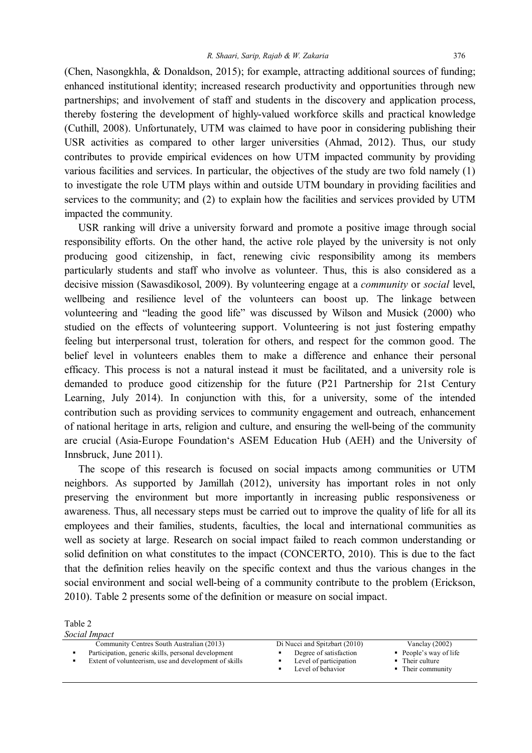(Chen, Nasongkhla, & Donaldson, 2015); for example, attracting additional sources of funding; enhanced institutional identity; increased research productivity and opportunities through new partnerships; and involvement of staff and students in the discovery and application process, thereby fostering the development of highly-valued workforce skills and practical knowledge (Cuthill, 2008). Unfortunately, UTM was claimed to have poor in considering publishing their USR activities as compared to other larger universities (Ahmad, 2012). Thus, our study contributes to provide empirical evidences on how UTM impacted community by providing various facilities and services. In particular, the objectives of the study are two fold namely (1) to investigate the role UTM plays within and outside UTM boundary in providing facilities and services to the community; and (2) to explain how the facilities and services provided by UTM impacted the community.

 USR ranking will drive a university forward and promote a positive image through social responsibility efforts. On the other hand, the active role played by the university is not only producing good citizenship, in fact, renewing civic responsibility among its members particularly students and staff who involve as volunteer. Thus, this is also considered as a decisive mission (Sawasdikosol, 2009). By volunteering engage at a *community* or *social* level, wellbeing and resilience level of the volunteers can boost up. The linkage between volunteering and "leading the good life" was discussed by Wilson and Musick (2000) who studied on the effects of volunteering support. Volunteering is not just fostering empathy feeling but interpersonal trust, toleration for others, and respect for the common good. The belief level in volunteers enables them to make a difference and enhance their personal efficacy. This process is not a natural instead it must be facilitated, and a university role is demanded to produce good citizenship for the future (P21 Partnership for 21st Century Learning, July 2014). In conjunction with this, for a university, some of the intended contribution such as providing services to community engagement and outreach, enhancement of national heritage in arts, religion and culture, and ensuring the well-being of the community are crucial (Asia-Europe Foundation's ASEM Education Hub (AEH) and the University of Innsbruck, June 2011).

 The scope of this research is focused on social impacts among communities or UTM neighbors. As supported by Jamillah (2012), university has important roles in not only preserving the environment but more importantly in increasing public responsiveness or awareness. Thus, all necessary steps must be carried out to improve the quality of life for all its employees and their families, students, faculties, the local and international communities as well as society at large. Research on social impact failed to reach common understanding or solid definition on what constitutes to the impact (CONCERTO, 2010). This is due to the fact that the definition relies heavily on the specific context and thus the various changes in the social environment and social well-being of a community contribute to the problem (Erickson, 2010). Table 2 presents some of the definition or measure on social impact.

Table 2

| Social Impact                                         |                                             |                                      |
|-------------------------------------------------------|---------------------------------------------|--------------------------------------|
| Community Centres South Australian (2013)             | Di Nucci and Spitzbart (2010)               | Vanclay $(2002)$                     |
| Participation, generic skills, personal development   | Degree of satisfaction                      | $\blacksquare$ People's way of life  |
| Extent of volunteerism, use and development of skills | Level of participation<br>Level of behavior | • Their culture<br>• Their community |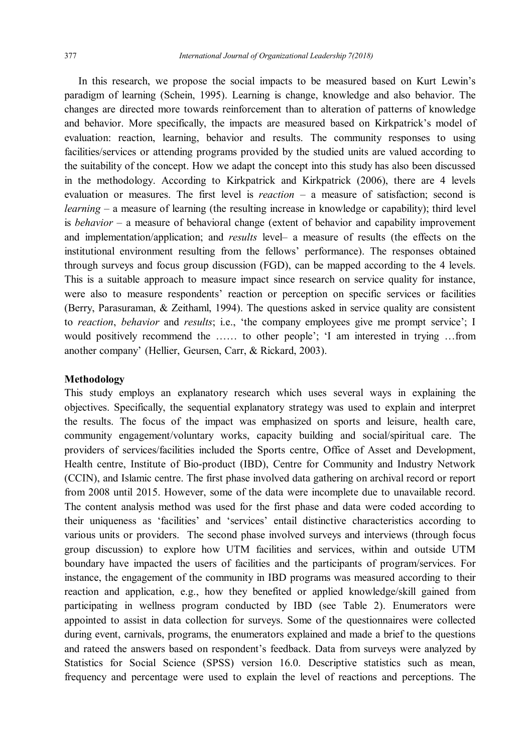In this research, we propose the social impacts to be measured based on Kurt Lewin's paradigm of learning (Schein, 1995). Learning is change, knowledge and also behavior. The changes are directed more towards reinforcement than to alteration of patterns of knowledge and behavior. More specifically, the impacts are measured based on Kirkpatrick's model of evaluation: reaction, learning, behavior and results. The community responses to using facilities/services or attending programs provided by the studied units are valued according to the suitability of the concept. How we adapt the concept into this study has also been discussed in the methodology. According to Kirkpatrick and Kirkpatrick (2006), there are 4 levels evaluation or measures. The first level is *reaction* – a measure of satisfaction; second is *learning* – a measure of learning (the resulting increase in knowledge or capability); third level is *behavior* – a measure of behavioral change (extent of behavior and capability improvement and implementation/application; and *results* level– a measure of results (the effects on the institutional environment resulting from the fellows' performance). The responses obtained through surveys and focus group discussion (FGD), can be mapped according to the 4 levels. This is a suitable approach to measure impact since research on service quality for instance, were also to measure respondents' reaction or perception on specific services or facilities (Berry, Parasuraman, & Zeithaml, 1994). The questions asked in service quality are consistent to *reaction*, *behavior* and *results*; i.e., 'the company employees give me prompt service'; I would positively recommend the …… to other people'; 'I am interested in trying …from another company' (Hellier, Geursen, Carr, & Rickard, 2003).

## **Methodology**

This study employs an explanatory research which uses several ways in explaining the objectives. Specifically, the sequential explanatory strategy was used to explain and interpret the results. The focus of the impact was emphasized on sports and leisure, health care, community engagement/voluntary works, capacity building and social/spiritual care. The providers of services/facilities included the Sports centre, Office of Asset and Development, Health centre, Institute of Bio-product (IBD), Centre for Community and Industry Network (CCIN), and Islamic centre. The first phase involved data gathering on archival record or report from 2008 until 2015. However, some of the data were incomplete due to unavailable record. The content analysis method was used for the first phase and data were coded according to their uniqueness as 'facilities' and 'services' entail distinctive characteristics according to various units or providers. The second phase involved surveys and interviews (through focus group discussion) to explore how UTM facilities and services, within and outside UTM boundary have impacted the users of facilities and the participants of program/services. For instance, the engagement of the community in IBD programs was measured according to their reaction and application, e.g., how they benefited or applied knowledge/skill gained from participating in wellness program conducted by IBD (see Table 2). Enumerators were appointed to assist in data collection for surveys. Some of the questionnaires were collected during event, carnivals, programs, the enumerators explained and made a brief to the questions and rateed the answers based on respondent's feedback. Data from surveys were analyzed by Statistics for Social Science (SPSS) version 16.0. Descriptive statistics such as mean, frequency and percentage were used to explain the level of reactions and perceptions. The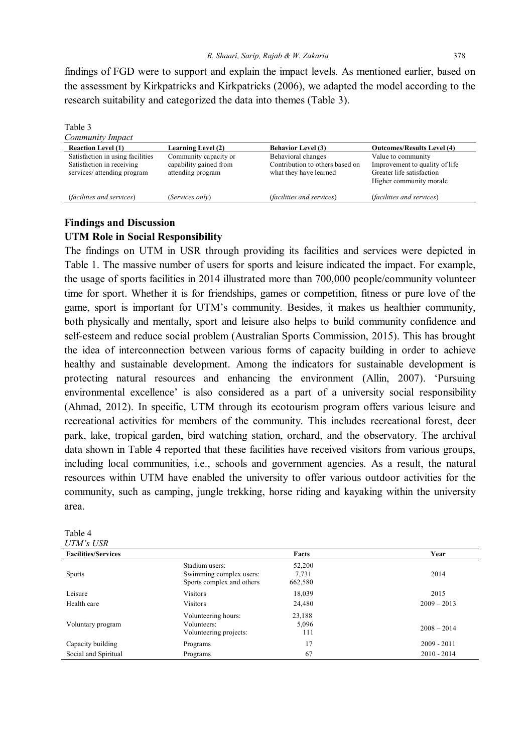findings of FGD were to support and explain the impact levels. As mentioned earlier, based on the assessment by Kirkpatricks and Kirkpatricks (2006), we adapted the model according to the research suitability and categorized the data into themes (Table 3).

| Table 3                                                                                      |                                                                      |                                                                                 |                                                                                                              |  |  |
|----------------------------------------------------------------------------------------------|----------------------------------------------------------------------|---------------------------------------------------------------------------------|--------------------------------------------------------------------------------------------------------------|--|--|
| Community Impact                                                                             |                                                                      |                                                                                 |                                                                                                              |  |  |
| <b>Reaction Level (1)</b>                                                                    | <b>Learning Level (2)</b>                                            | <b>Behavior Level (3)</b>                                                       | <b>Outcomes/Results Level (4)</b>                                                                            |  |  |
| Satisfaction in using facilities<br>Satisfaction in receiving<br>services/ attending program | Community capacity or<br>capability gained from<br>attending program | Behavioral changes<br>Contribution to others based on<br>what they have learned | Value to community<br>Improvement to quality of life<br>Greater life satisfaction<br>Higher community morale |  |  |
| <i>(facilities and services)</i>                                                             | (Services only)                                                      | <i>(facilities and services)</i>                                                | <i>(facilities and services)</i>                                                                             |  |  |

# **Findings and Discussion UTM Role in Social Responsibility**

The findings on UTM in USR through providing its facilities and services were depicted in Table 1. The massive number of users for sports and leisure indicated the impact. For example, the usage of sports facilities in 2014 illustrated more than 700,000 people/community volunteer time for sport. Whether it is for friendships, games or competition, fitness or pure love of the game, sport is important for UTM's community. Besides, it makes us healthier community, both physically and mentally, sport and leisure also helps to build community confidence and self-esteem and reduce social problem (Australian Sports Commission, 2015). This has brought the idea of interconnection between various forms of capacity building in order to achieve healthy and sustainable development. Among the indicators for sustainable development is protecting natural resources and enhancing the environment (Allin, 2007). 'Pursuing environmental excellence' is also considered as a part of a university social responsibility (Ahmad, 2012). In specific, UTM through its ecotourism program offers various leisure and recreational activities for members of the community. This includes recreational forest, deer park, lake, tropical garden, bird watching station, orchard, and the observatory. The archival data shown in Table 4 reported that these facilities have received visitors from various groups, including local communities, i.e., schools and government agencies. As a result, the natural resources within UTM have enabled the university to offer various outdoor activities for the community, such as camping, jungle trekking, horse riding and kayaking within the university area.

| Table 4                    |                                                                        |                            |               |
|----------------------------|------------------------------------------------------------------------|----------------------------|---------------|
| UTM's USR                  |                                                                        |                            |               |
| <b>Facilities/Services</b> |                                                                        | Facts                      | Year          |
| <b>Sports</b>              | Stadium users:<br>Swimming complex users:<br>Sports complex and others | 52,200<br>7,731<br>662,580 | 2014          |
| Leisure                    | <b>Visitors</b>                                                        | 18,039                     | 2015          |
| Health care                | <b>Visitors</b>                                                        | 24,480                     | $2009 - 2013$ |
| Voluntary program          | Volunteering hours:<br>Volunteers:<br>Volunteering projects:           | 23,188<br>5,096<br>111     | $2008 - 2014$ |
| Capacity building          | Programs                                                               | 17                         | $2009 - 2011$ |
| Social and Spiritual       | Programs                                                               | 67                         | $2010 - 2014$ |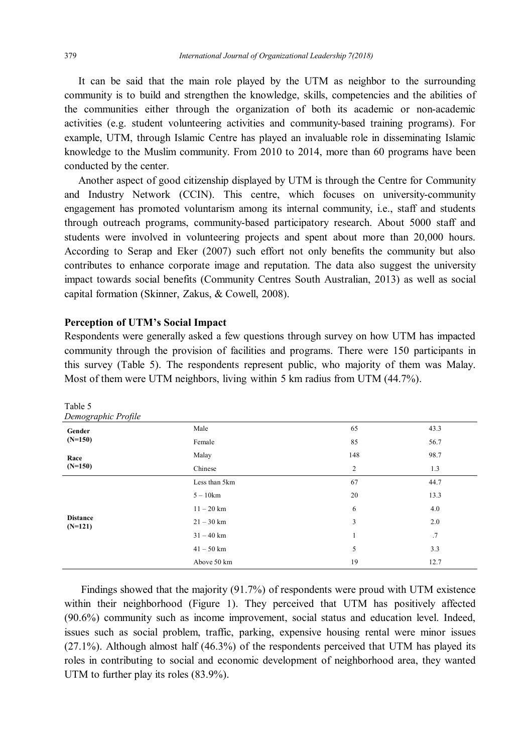It can be said that the main role played by the UTM as neighbor to the surrounding community is to build and strengthen the knowledge, skills, competencies and the abilities of the communities either through the organization of both its academic or non-academic activities (e.g. student volunteering activities and community-based training programs). For example, UTM, through Islamic Centre has played an invaluable role in disseminating Islamic knowledge to the Muslim community. From 2010 to 2014, more than 60 programs have been conducted by the center.

 Another aspect of good citizenship displayed by UTM is through the Centre for Community and Industry Network (CCIN). This centre, which focuses on university-community engagement has promoted voluntarism among its internal community, i.e., staff and students through outreach programs, community-based participatory research. About 5000 staff and students were involved in volunteering projects and spent about more than 20,000 hours. According to Serap and Eker (2007) such effort not only benefits the community but also contributes to enhance corporate image and reputation. The data also suggest the university impact towards social benefits (Community Centres South Australian, 2013) as well as social capital formation (Skinner, Zakus, & Cowell, 2008).

## **Perception of UTM's Social Impact**

Respondents were generally asked a few questions through survey on how UTM has impacted community through the provision of facilities and programs. There were 150 participants in this survey (Table 5). The respondents represent public, who majority of them was Malay. Most of them were UTM neighbors, living within 5 km radius from UTM (44.7%).

| Table 5<br>Demographic Profile |               |                |      |
|--------------------------------|---------------|----------------|------|
| Gender                         | Male          | 65             | 43.3 |
| $(N=150)$                      | Female        | 85             | 56.7 |
| Race                           | Malay         | 148            | 98.7 |
| $(N=150)$                      | Chinese       | $\overline{c}$ | 1.3  |
|                                | Less than 5km | 67             | 44.7 |
|                                | $5-10km$      | 20             | 13.3 |
|                                | $11 - 20$ km  | 6              | 4.0  |
| <b>Distance</b><br>$(N=121)$   | $21 - 30$ km  | 3              | 2.0  |
|                                | $31 - 40$ km  |                | .7   |
|                                | $41 - 50$ km  | 5              | 3.3  |
|                                | Above 50 km   | 19             | 12.7 |

 Findings showed that the majority (91.7%) of respondents were proud with UTM existence within their neighborhood (Figure 1). They perceived that UTM has positively affected (90.6%) community such as income improvement, social status and education level. Indeed, issues such as social problem, traffic, parking, expensive housing rental were minor issues (27.1%). Although almost half (46.3%) of the respondents perceived that UTM has played its roles in contributing to social and economic development of neighborhood area, they wanted UTM to further play its roles (83.9%).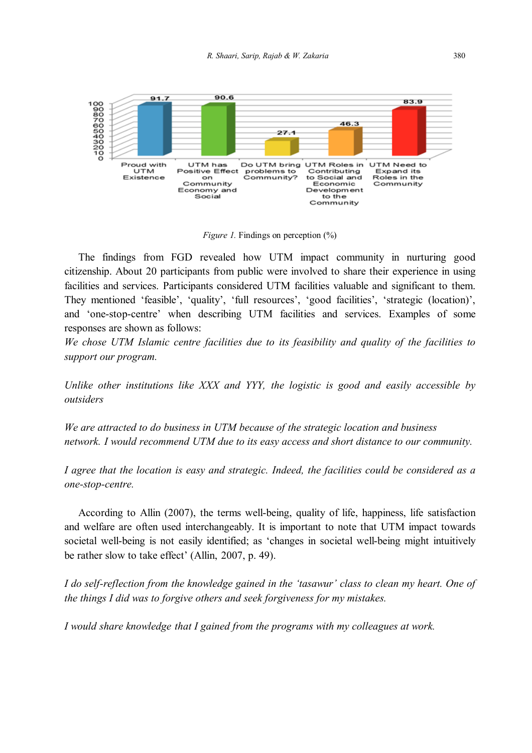

*Figure 1.* Findings on perception  $\frac{0}{0}$ 

 The findings from FGD revealed how UTM impact community in nurturing good citizenship. About 20 participants from public were involved to share their experience in using facilities and services. Participants considered UTM facilities valuable and significant to them. They mentioned 'feasible', 'quality', 'full resources', 'good facilities', 'strategic (location)', and 'one-stop-centre' when describing UTM facilities and services. Examples of some responses are shown as follows:

*We chose UTM Islamic centre facilities due to its feasibility and quality of the facilities to support our program.*

*Unlike other institutions like XXX and YYY, the logistic is good and easily accessible by outsiders*

*We are attracted to do business in UTM because of the strategic location and business network. I would recommend UTM due to its easy access and short distance to our community.*

*I agree that the location is easy and strategic. Indeed, the facilities could be considered as a one-stop-centre.*

 According to Allin (2007), the terms well-being, quality of life, happiness, life satisfaction and welfare are often used interchangeably. It is important to note that UTM impact towards societal well-being is not easily identified; as 'changes in societal well-being might intuitively be rather slow to take effect' (Allin, 2007, p. 49).

*I do self-reflection from the knowledge gained in the 'tasawur' class to clean my heart. One of the things I did was to forgive others and seek forgiveness for my mistakes.*

*I would share knowledge that I gained from the programs with my colleagues at work.*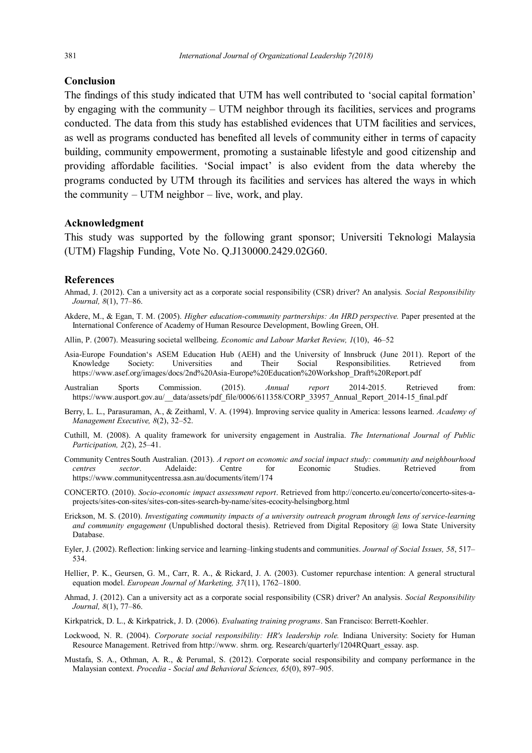#### **Conclusion**

The findings of this study indicated that UTM has well contributed to 'social capital formation' by engaging with the community – UTM neighbor through its facilities, services and programs conducted. The data from this study has established evidences that UTM facilities and services, as well as programs conducted has benefited all levels of community either in terms of capacity building, community empowerment, promoting a sustainable lifestyle and good citizenship and providing affordable facilities. 'Social impact' is also evident from the data whereby the programs conducted by UTM through its facilities and services has altered the ways in which the community  $-$  UTM neighbor  $-$  live, work, and play.

## **Acknowledgment**

This study was supported by the following grant sponsor; Universiti Teknologi Malaysia (UTM) Flagship Funding, Vote No. Q.J130000.2429.02G60.

## **References**

- Ahmad, J. (2012). Can a university act as a corporate social responsibility (CSR) driver? An analysis*. Social Responsibility Journal, 8*(1), 77–86.
- Akdere, M., & Egan, T. M. (2005). *Higher education-community partnerships: An HRD perspective.* Paper presented at the International Conference of Academy of Human Resource Development, Bowling Green, OH.
- Allin, P. (2007). Measuring societal wellbeing. *Economic and Labour Market Review, 1*(10), 46–52
- Asia-Europe Foundation's ASEM Education Hub (AEH) and the University of Innsbruck (June 2011). Report of the Knowledge Society: Universities and Their Social Responsibilities. Retrieved from https://www.asef.org/images/docs/2nd%20Asia-Europe%20Education%20Workshop\_Draft%20Report.pdf
- Australian Sports Commission. (2015). *Annual report* 2014-2015. Retrieved from: https://www.ausport.gov.au/\_\_data/assets/pdf\_file/0006/611358/CORP\_33957\_Annual\_Report\_2014-15\_final.pdf
- Berry, L. L., Parasuraman, A., & Zeithaml, V. A. (1994). Improving service quality in America: lessons learned. *Academy of Management Executive, 8*(2), 32–52.
- Cuthill, M. (2008). A quality framework for university engagement in Australia. *The International Journal of Public Participation, 2*(2), 25–41.
- Community Centres South Australian. (2013). *A report on economic and social impact study: community and neighbourhood centres sector*. Adelaide: Centre for Economic Studies. Retrieved from https://www.communitycentressa.asn.au/documents/item/174
- CONCERTO. (2010). *Socio-economic impact assessment report*. Retrieved from http://concerto.eu/concerto/concerto-sites-aprojects/sites-con-sites/sites-con-sites-search-by-name/sites-ecocity-helsingborg.html
- Erickson, M. S. (2010). *Investigating community impacts of a university outreach program through lens of service-learning and community engagement* (Unpublished doctoral thesis). Retrieved from Digital Repository @ Iowa State University Database.
- Eyler, J. (2002). Reflection: linking service and learning–linking students and communities. *Journal of Social Issues, 58*, 517– 534.
- Hellier, P. K., Geursen, G. M., Carr, R. A., & Rickard, J. A. (2003). Customer repurchase intention: A general structural equation model. *European Journal of Marketing, 37*(11), 1762–1800.
- Ahmad, J. (2012). Can a university act as a corporate social responsibility (CSR) driver? An analysis. *Social Responsibility Journal, 8*(1), 77–86.
- Kirkpatrick, D. L., & Kirkpatrick, J. D. (2006). *Evaluating training programs*. San Francisco: Berrett-Koehler.
- Lockwood, N. R. (2004). *Corporate social responsibility: HR's leadership role.* Indiana University: Society for Human Resource Management. Retrived from http://www.shrm.org. Research/quarterly/1204RQuart\_essay. asp.
- Mustafa, S. A., Othman, A. R., & Perumal, S. (2012). Corporate social responsibility and company performance in the Malaysian context. *Procedia - Social and Behavioral Sciences, 65*(0), 897–905.